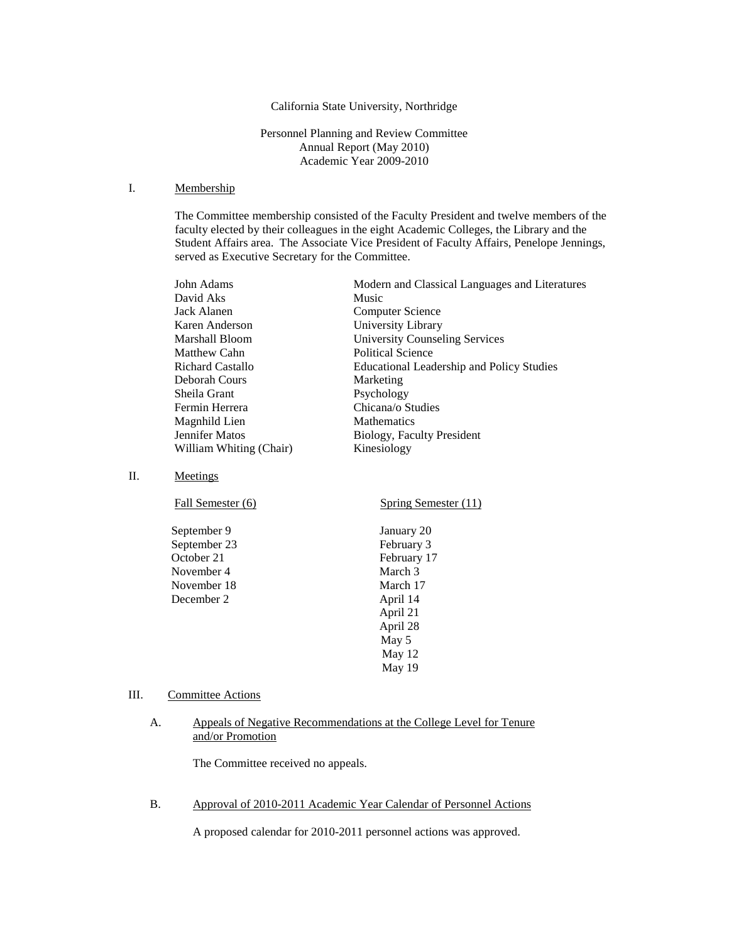#### California State University, Northridge

### Personnel Planning and Review Committee Annual Report (May 2010) Academic Year 2009-2010

### I. Membership

The Committee membership consisted of the Faculty President and twelve members of the faculty elected by their colleagues in the eight Academic Colleges, the Library and the Student Affairs area. The Associate Vice President of Faculty Affairs, Penelope Jennings, served as Executive Secretary for the Committee.

| John Adams              | Modern and Classical Languages and Literatures   |
|-------------------------|--------------------------------------------------|
| David Aks               | Music                                            |
| Jack Alanen             | Computer Science                                 |
| Karen Anderson          | University Library                               |
| Marshall Bloom          | <b>University Counseling Services</b>            |
| Matthew Cahn            | Political Science                                |
| <b>Richard Castallo</b> | <b>Educational Leadership and Policy Studies</b> |
| Deborah Cours           | Marketing                                        |
| Sheila Grant            | Psychology                                       |
| Fermin Herrera          | Chicana/o Studies                                |
| Magnhild Lien           | <b>Mathematics</b>                               |
| Jennifer Matos          | Biology, Faculty President                       |
| William Whiting (Chair) | Kinesiology                                      |
|                         |                                                  |

II. Meetings

| Fall Semester (6) | Spring Semester (11) |
|-------------------|----------------------|
| September 9       | January 20           |
| September 23      | February 3           |
| October 21        | February 17          |
| November 4        | March 3              |
| November 18       | March 17             |
| December 2        | April 14             |
|                   | April 21             |
|                   | April 28             |
|                   | May 5                |
|                   | May 12               |
|                   | May 19               |

#### III. Committee Actions

#### A. Appeals of Negative Recommendations at the College Level for Tenure and/or Promotion

The Committee received no appeals.

B. Approval of 2010-2011 Academic Year Calendar of Personnel Actions

A proposed calendar for 2010-2011 personnel actions was approved.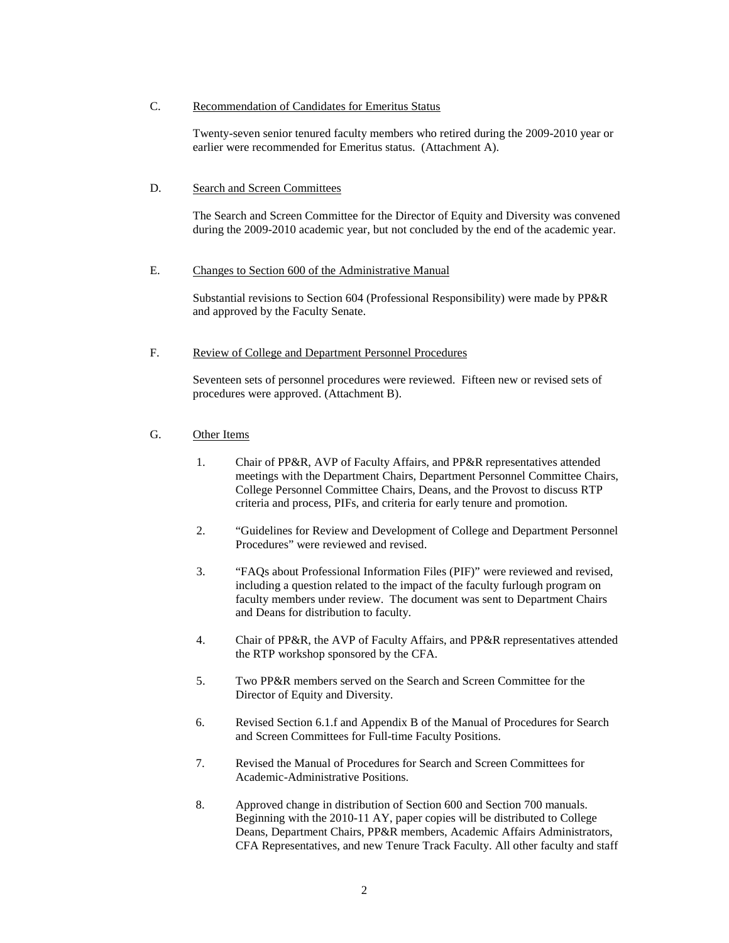# C. Recommendation of Candidates for Emeritus Status

 Twenty-seven senior tenured faculty members who retired during the 2009-2010 year or earlier were recommended for Emeritus status. (Attachment A).

#### D. Search and Screen Committees

The Search and Screen Committee for the Director of Equity and Diversity was convened during the 2009-2010 academic year, but not concluded by the end of the academic year.

#### E. Changes to Section 600 of the Administrative Manual

Substantial revisions to Section 604 (Professional Responsibility) were made by PP&R and approved by the Faculty Senate.

### F. Review of College and Department Personnel Procedures

Seventeen sets of personnel procedures were reviewed. Fifteen new or revised sets of procedures were approved. (Attachment B).

## G. Other Items

- 1. Chair of PP&R, AVP of Faculty Affairs, and PP&R representatives attended meetings with the Department Chairs, Department Personnel Committee Chairs, College Personnel Committee Chairs, Deans, and the Provost to discuss RTP criteria and process, PIFs, and criteria for early tenure and promotion.
- 2. "Guidelines for Review and Development of College and Department Personnel Procedures" were reviewed and revised.
- 3. "FAQs about Professional Information Files (PIF)" were reviewed and revised, including a question related to the impact of the faculty furlough program on faculty members under review. The document was sent to Department Chairs and Deans for distribution to faculty.
- 4. Chair of PP&R, the AVP of Faculty Affairs, and PP&R representatives attended the RTP workshop sponsored by the CFA.
- 5. Two PP&R members served on the Search and Screen Committee for the Director of Equity and Diversity.
- 6. Revised Section 6.1.f and Appendix B of the Manual of Procedures for Search and Screen Committees for Full-time Faculty Positions.
- 7. Revised the Manual of Procedures for Search and Screen Committees for Academic-Administrative Positions.
- 8. Approved change in distribution of Section 600 and Section 700 manuals. Beginning with the 2010-11 AY, paper copies will be distributed to College Deans, Department Chairs, PP&R members, Academic Affairs Administrators, CFA Representatives, and new Tenure Track Faculty. All other faculty and staff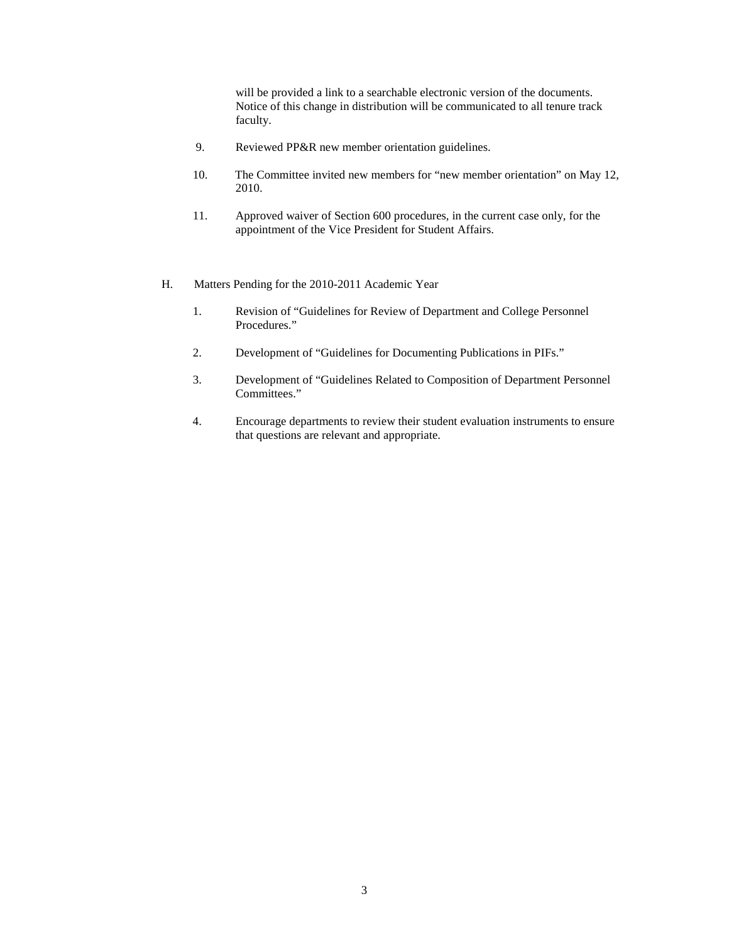will be provided a link to a searchable electronic version of the documents. Notice of this change in distribution will be communicated to all tenure track faculty.

- 9. Reviewed PP&R new member orientation guidelines.
- 10. The Committee invited new members for "new member orientation" on May 12, 2010.
- 11. Approved waiver of Section 600 procedures, in the current case only, for the appointment of the Vice President for Student Affairs.
- H. Matters Pending for the 2010-2011 Academic Year
	- 1. Revision of "Guidelines for Review of Department and College Personnel Procedures."
	- 2. Development of "Guidelines for Documenting Publications in PIFs."
	- 3. Development of "Guidelines Related to Composition of Department Personnel Committees."
	- 4. Encourage departments to review their student evaluation instruments to ensure that questions are relevant and appropriate.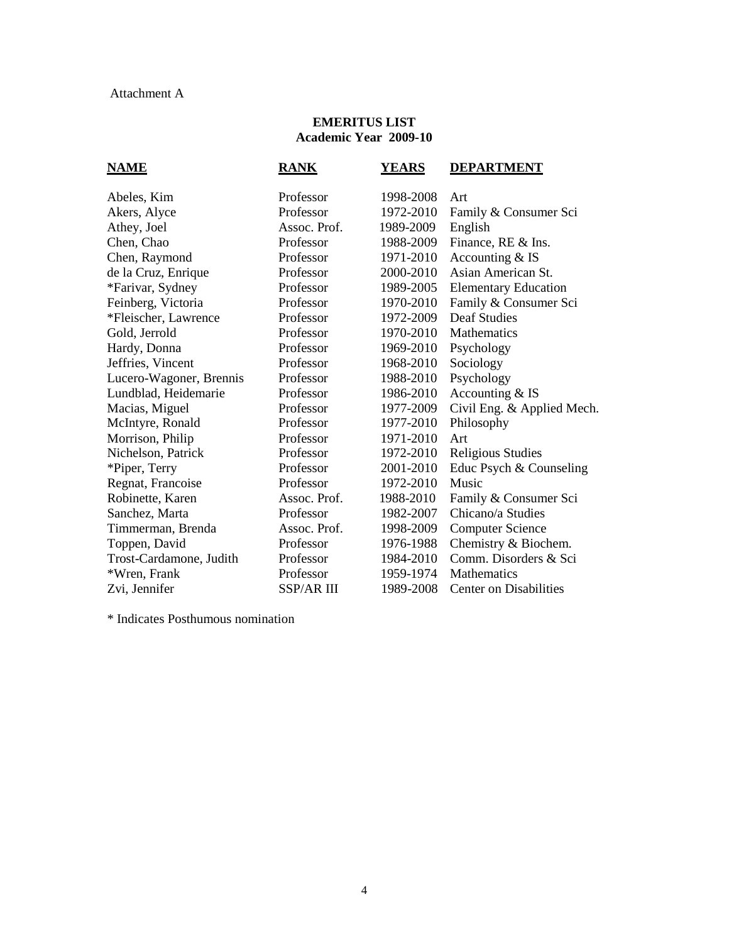# **EMERITUS LIST Academic Year 2009-10**

| <b>NAME</b>             | <b>RANK</b>       | YEARS     | <b>DEPARTMENT</b>             |
|-------------------------|-------------------|-----------|-------------------------------|
| Abeles, Kim             | Professor         | 1998-2008 | Art                           |
| Akers, Alyce            | Professor         | 1972-2010 | Family & Consumer Sci         |
| Athey, Joel             | Assoc. Prof.      | 1989-2009 | English                       |
| Chen, Chao              | Professor         | 1988-2009 | Finance, RE & Ins.            |
| Chen, Raymond           | Professor         | 1971-2010 | Accounting & IS               |
| de la Cruz, Enrique     | Professor         | 2000-2010 | Asian American St.            |
| *Farivar, Sydney        | Professor         | 1989-2005 | <b>Elementary Education</b>   |
| Feinberg, Victoria      | Professor         | 1970-2010 | Family & Consumer Sci         |
| *Fleischer, Lawrence    | Professor         | 1972-2009 | <b>Deaf Studies</b>           |
| Gold, Jerrold           | Professor         | 1970-2010 | Mathematics                   |
| Hardy, Donna            | Professor         | 1969-2010 | Psychology                    |
| Jeffries, Vincent       | Professor         | 1968-2010 | Sociology                     |
| Lucero-Wagoner, Brennis | Professor         | 1988-2010 | Psychology                    |
| Lundblad, Heidemarie    | Professor         | 1986-2010 | Accounting & IS               |
| Macias, Miguel          | Professor         | 1977-2009 | Civil Eng. & Applied Mech.    |
| McIntyre, Ronald        | Professor         | 1977-2010 | Philosophy                    |
| Morrison, Philip        | Professor         | 1971-2010 | Art                           |
| Nichelson, Patrick      | Professor         | 1972-2010 | <b>Religious Studies</b>      |
| *Piper, Terry           | Professor         | 2001-2010 | Educ Psych & Counseling       |
| Regnat, Francoise       | Professor         | 1972-2010 | Music                         |
| Robinette, Karen        | Assoc. Prof.      | 1988-2010 | Family & Consumer Sci         |
| Sanchez, Marta          | Professor         | 1982-2007 | Chicano/a Studies             |
| Timmerman, Brenda       | Assoc. Prof.      | 1998-2009 | <b>Computer Science</b>       |
| Toppen, David           | Professor         | 1976-1988 | Chemistry & Biochem.          |
| Trost-Cardamone, Judith | Professor         | 1984-2010 | Comm. Disorders & Sci         |
| *Wren, Frank            | Professor         | 1959-1974 | Mathematics                   |
| Zvi, Jennifer           | <b>SSP/AR III</b> | 1989-2008 | <b>Center on Disabilities</b> |
|                         |                   |           |                               |

\* Indicates Posthumous nomination